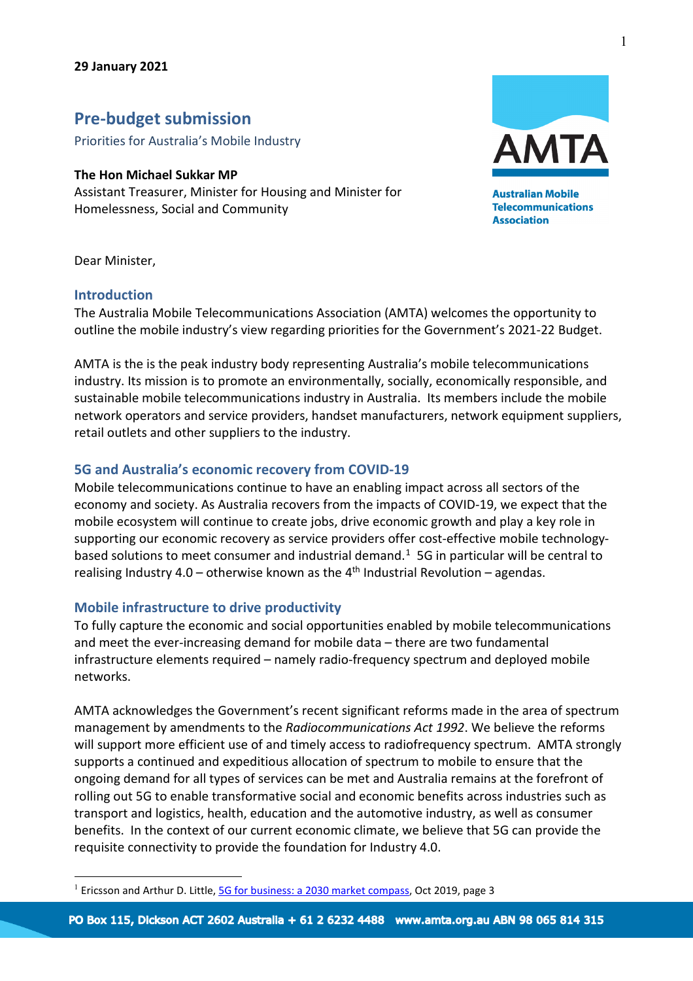# **Pre-budget submission**

Priorities for Australia's Mobile Industry

### **The Hon Michael Sukkar MP**

Assistant Treasurer, Minister for Housing and Minister for Homelessness, Social and Community



**Australian Mobile Telecommunications Association** 

Dear Minister,

### **Introduction**

The Australia Mobile Telecommunications Association (AMTA) welcomes the opportunity to outline the mobile industry's view regarding priorities for the Government's 2021-22 Budget.

AMTA is the is the peak industry body representing Australia's mobile telecommunications industry. Its mission is to promote an environmentally, socially, economically responsible, and sustainable mobile telecommunications industry in Australia. Its members include the mobile network operators and service providers, handset manufacturers, network equipment suppliers, retail outlets and other suppliers to the industry.

### **5G and Australia's economic recovery from COVID-19**

Mobile telecommunications continue to have an enabling impact across all sectors of the economy and society. As Australia recovers from the impacts of COVID-19, we expect that the mobile ecosystem will continue to create jobs, drive economic growth and play a key role in supporting our economic recovery as service providers offer cost-effective mobile technologybased solutions to meet consumer and industrial demand. [1](#page-0-0) 5G in particular will be central to realising Industry 4.0 – otherwise known as the  $4<sup>th</sup>$  Industrial Revolution – agendas.

### **Mobile infrastructure to drive productivity**

To fully capture the economic and social opportunities enabled by mobile telecommunications and meet the ever-increasing demand for mobile data – there are two fundamental infrastructure elements required – namely radio-frequency spectrum and deployed mobile networks.

AMTA acknowledges the Government's recent significant reforms made in the area of spectrum management by amendments to the *Radiocommunications Act 1992*. We believe the reforms will support more efficient use of and timely access to radiofrequency spectrum. AMTA strongly supports a continued and expeditious allocation of spectrum to mobile to ensure that the ongoing demand for all types of services can be met and Australia remains at the forefront of rolling out 5G to enable transformative social and economic benefits across industries such as transport and logistics, health, education and the automotive industry, as well as consumer benefits. In the context of our current economic climate, we believe that 5G can provide the requisite connectivity to provide the foundation for Industry 4.0.

1

<span id="page-0-0"></span><sup>&</sup>lt;sup>1</sup> Ericsson and Arthur D. Little[, 5G for business: a 2030 market compass,](https://www.ericsson.com/en/news/2019/10/ericsson-5g-for-business-a-2030-market-compass) Oct 2019, page 3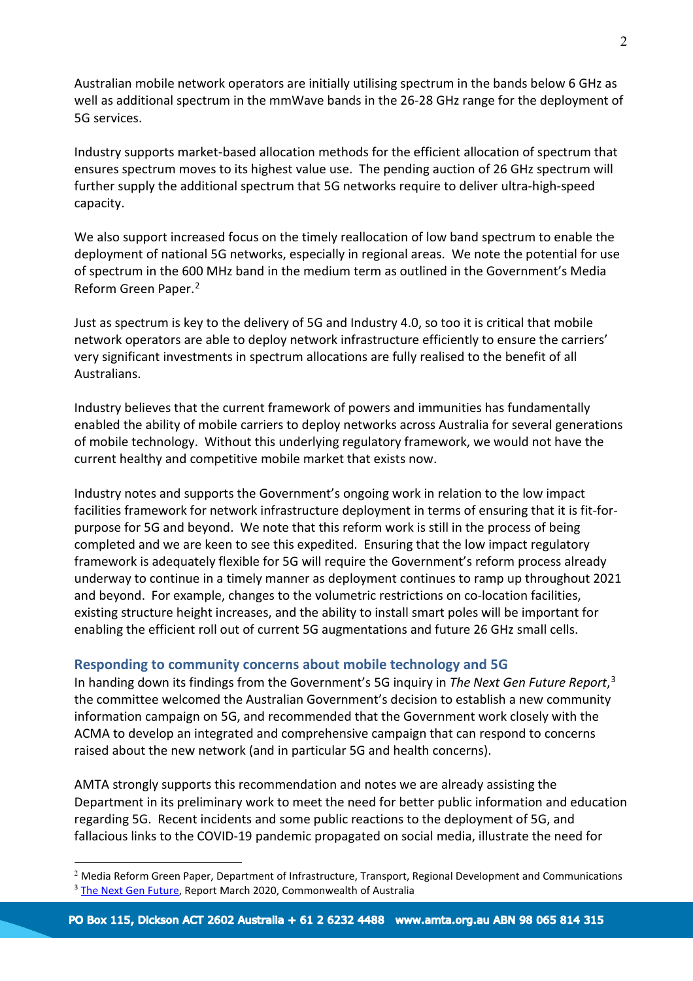Australian mobile network operators are initially utilising spectrum in the bands below 6 GHz as well as additional spectrum in the mmWave bands in the 26-28 GHz range for the deployment of 5G services.

Industry supports market-based allocation methods for the efficient allocation of spectrum that ensures spectrum moves to its highest value use. The pending auction of 26 GHz spectrum will further supply the additional spectrum that 5G networks require to deliver ultra-high-speed capacity.

We also support increased focus on the timely reallocation of low band spectrum to enable the deployment of national 5G networks, especially in regional areas. We note the potential for use of spectrum in the 600 MHz band in the medium term as outlined in the Government's Media Reform Green Paper. [2](#page-1-0)

Just as spectrum is key to the delivery of 5G and Industry 4.0, so too it is critical that mobile network operators are able to deploy network infrastructure efficiently to ensure the carriers' very significant investments in spectrum allocations are fully realised to the benefit of all Australians.

Industry believes that the current framework of powers and immunities has fundamentally enabled the ability of mobile carriers to deploy networks across Australia for several generations of mobile technology. Without this underlying regulatory framework, we would not have the current healthy and competitive mobile market that exists now.

Industry notes and supports the Government's ongoing work in relation to the low impact facilities framework for network infrastructure deployment in terms of ensuring that it is fit-forpurpose for 5G and beyond. We note that this reform work is still in the process of being completed and we are keen to see this expedited. Ensuring that the low impact regulatory framework is adequately flexible for 5G will require the Government's reform process already underway to continue in a timely manner as deployment continues to ramp up throughout 2021 and beyond. For example, changes to the volumetric restrictions on co-location facilities, existing structure height increases, and the ability to install smart poles will be important for enabling the efficient roll out of current 5G augmentations and future 26 GHz small cells.

## **Responding to community concerns about mobile technology and 5G**

In handing down its findings from the Government's 5G inquiry in *The Next Gen Future Report*, [3](#page-1-1) the committee welcomed the Australian Government's decision to establish a new community information campaign on 5G, and recommended that the Government work closely with the ACMA to develop an integrated and comprehensive campaign that can respond to concerns raised about the new network (and in particular 5G and health concerns).

AMTA strongly supports this recommendation and notes we are already assisting the Department in its preliminary work to meet the need for better public information and education regarding 5G. Recent incidents and some public reactions to the deployment of 5G, and fallacious links to the COVID-19 pandemic propagated on social media, illustrate the need for

<span id="page-1-1"></span><span id="page-1-0"></span> $2$  [Media Reform Green Paper,](https://www.communications.gov.au/have-your-say/new-rules-new-media-landscape-modernising-television-regulation-australia) Department of Infrastructure, Transport, Regional Development and Communications <sup>3</sup> [The Next Gen Future,](https://www.aph.gov.au/Parliamentary_Business/Committees/House/Communications/5G/Report) Report March 2020, Commonwealth of Australia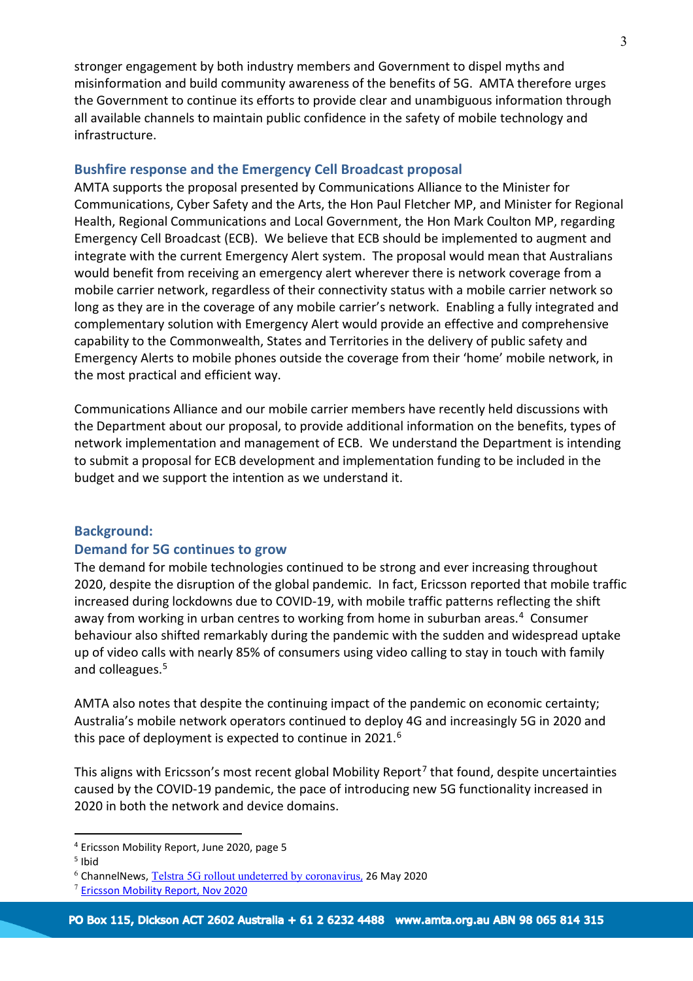stronger engagement by both industry members and Government to dispel myths and misinformation and build community awareness of the benefits of 5G. AMTA therefore urges the Government to continue its efforts to provide clear and unambiguous information through all available channels to maintain public confidence in the safety of mobile technology and infrastructure.

### **Bushfire response and the Emergency Cell Broadcast proposal**

AMTA supports the proposal presented by Communications Alliance to the Minister for Communications, Cyber Safety and the Arts, the Hon Paul Fletcher MP, and Minister for Regional Health, Regional Communications and Local Government, the Hon Mark Coulton MP, regarding Emergency Cell Broadcast (ECB). We believe that ECB should be implemented to augment and integrate with the current Emergency Alert system. The proposal would mean that Australians would benefit from receiving an emergency alert wherever there is network coverage from a mobile carrier network, regardless of their connectivity status with a mobile carrier network so long as they are in the coverage of any mobile carrier's network. Enabling a fully integrated and complementary solution with Emergency Alert would provide an effective and comprehensive capability to the Commonwealth, States and Territories in the delivery of public safety and Emergency Alerts to mobile phones outside the coverage from their 'home' mobile network, in the most practical and efficient way.

Communications Alliance and our mobile carrier members have recently held discussions with the Department about our proposal, to provide additional information on the benefits, types of network implementation and management of ECB. We understand the Department is intending to submit a proposal for ECB development and implementation funding to be included in the budget and we support the intention as we understand it.

### **Background:**

### **Demand for 5G continues to grow**

The demand for mobile technologies continued to be strong and ever increasing throughout 2020, despite the disruption of the global pandemic. In fact, Ericsson reported that mobile traffic increased during lockdowns due to COVID-19, with mobile traffic patterns reflecting the shift away from working in urban centres to working from home in suburban areas.<sup>[4](#page-2-0)</sup> Consumer behaviour also shifted remarkably during the pandemic with the sudden and widespread uptake up of video calls with nearly 85% of consumers using video calling to stay in touch with family and colleagues.<sup>[5](#page-2-1)</sup>

AMTA also notes that despite the continuing impact of the pandemic on economic certainty; Australia's mobile network operators continued to deploy 4G and increasingly 5G in 2020 and this pace of deployment is expected to continue in 2021.<sup>[6](#page-2-2)</sup>

This aligns with Ericsson's most recent global Mobility Report<sup>[7](#page-2-3)</sup> that found, despite uncertainties caused by the COVID-19 pandemic, the pace of introducing new 5G functionality increased in 2020 in both the network and device domains.

<span id="page-2-0"></span><sup>4</sup> [Ericsson Mobility Report,](https://www.ericsson.com/49da93/assets/local/mobility-report/documents/2020/june2020-ericsson-mobility-report.pdf) June 2020, page 5

<span id="page-2-1"></span> $<sup>5</sup>$  Ibid</sup>

<sup>6</sup> ChannelNews, [Telstra 5G rollout undeterred by coronavirus](https://www.channelnews.com.au/telstra-5g-rollout-undeterred-by-coronavirus/), 26 May 2020

<span id="page-2-3"></span><span id="page-2-2"></span><sup>7</sup> [Ericsson Mobility Report, Nov 2020](https://www.ericsson.com/en/mobility-report/reports/november-2020)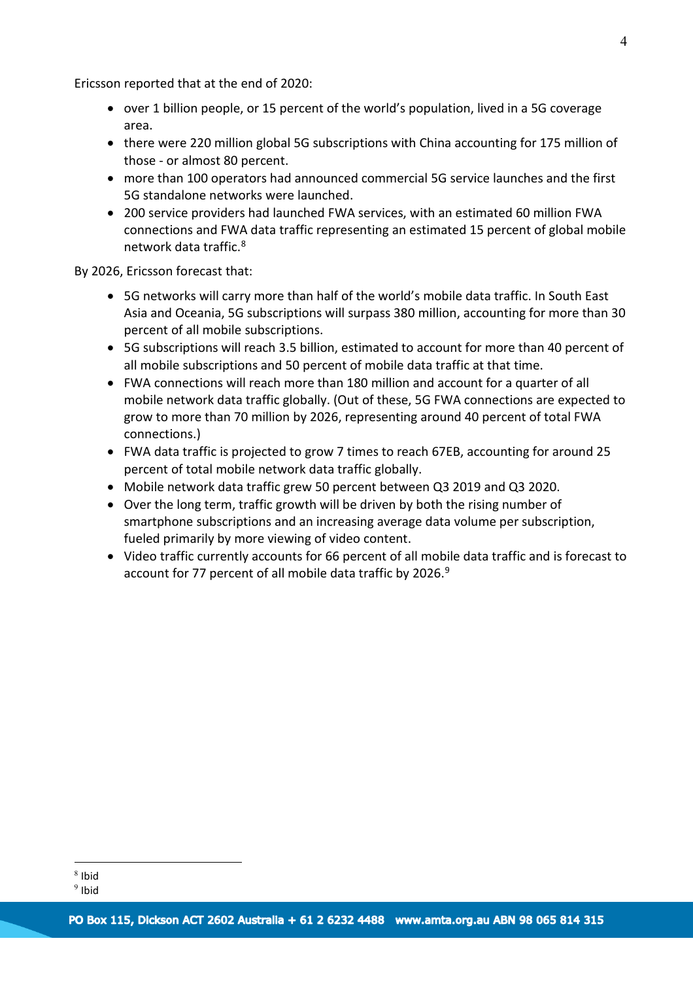Ericsson reported that at the end of 2020:

- over 1 billion people, or 15 percent of the world's population, lived in a 5G coverage area.
- there were 220 million global 5G subscriptions with China accounting for 175 million of those - or almost 80 percent.
- more than 100 operators had announced commercial 5G service launches and the first 5G standalone networks were launched.
- 200 service providers had launched FWA services, with an estimated 60 million FWA connections and FWA data traffic representing an estimated 15 percent of global mobile network data traffic.[8](#page-3-0)

By 2026, Ericsson forecast that:

- 5G networks will carry more than half of the world's mobile data traffic. In South East Asia and Oceania, 5G subscriptions will surpass 380 million, accounting for more than 30 percent of all mobile subscriptions.
- 5G subscriptions will reach 3.5 billion, estimated to account for more than 40 percent of all mobile subscriptions and 50 percent of mobile data traffic at that time.
- FWA connections will reach more than 180 million and account for a quarter of all mobile network data traffic globally. (Out of these, 5G FWA connections are expected to grow to more than 70 million by 2026, representing around 40 percent of total FWA connections.)
- FWA data traffic is projected to grow 7 times to reach 67EB, accounting for around 25 percent of total mobile network data traffic globally.
- Mobile network data traffic grew 50 percent between Q3 2019 and Q3 2020.
- Over the long term, traffic growth will be driven by both the rising number of smartphone subscriptions and an increasing average data volume per subscription, fueled primarily by more viewing of video content.
- Video traffic currently accounts for 66 percent of all mobile data traffic and is forecast to account for 77 percent of all mobile data traffic by 2026.<sup>[9](#page-3-1)</sup>

<span id="page-3-0"></span><sup>8</sup> Ibid

<span id="page-3-1"></span><sup>9</sup> Ibid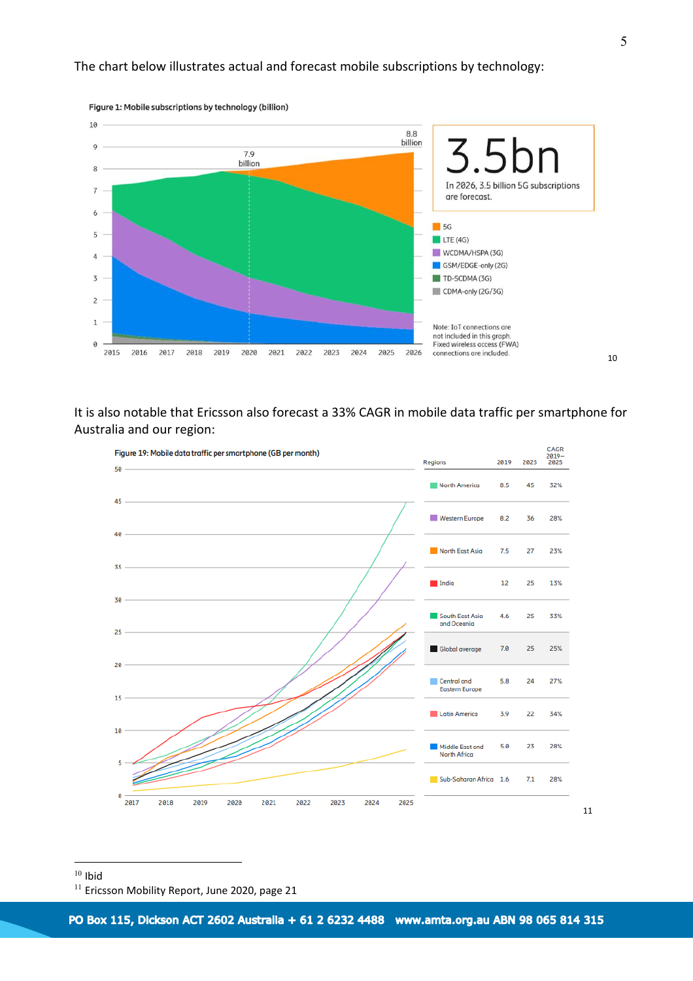

Figure 1: Mobile subscriptions by technology (billion)

It is also notable that Ericsson also forecast a 33% CAGR in mobile data traffic per smartphone for Australia and our region:



<span id="page-4-0"></span> $10$  Ibid

[10](#page-4-0)

<span id="page-4-1"></span><sup>&</sup>lt;sup>11</sup> [Ericsson Mobility Report,](https://www.ericsson.com/en/mobility-report/reports/june-2020) June 2020, page 21